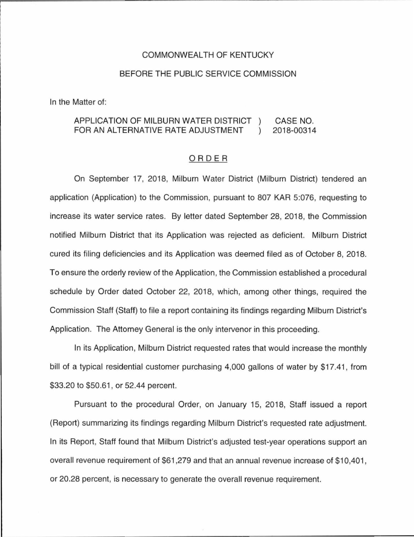#### COMMONWEALTH OF KENTUCKY

#### BEFORE THE PUBLIC SERVICE COMMISSION

In the Matter of:

#### APPLICATION OF MILBURN WATER DISTRICT CASE NO. FOR AN ALTERNATIVE RATE ADJUSTMENT 2018-00314  $\lambda$

#### ORDER

On September 17, 2018, Milburn Water District (Milburn District) tendered an application (Application) to the Commission, pursuant to 807 KAR 5:076, requesting to increase its water service rates. By letter dated September 28, 2018, the Commission notified Milburn District that its Application was rejected as deficient. Milburn District cured its filing deficiencies and its Application was deemed filed as of October 8, 2018. To ensure the orderly review of the Application, the Commission established a procedural schedule by Order dated October 22, 2018, which, among other things, required the Commission Staff (Staff) to file a report containing its findings regarding Milburn District's Application. The Attorney General is the only intervenor in this proceeding.

In its Application, Milburn District requested rates that would increase the monthly bill of a typical residential customer purchasing 4,000 gallons of water by \$17.41 , from \$33.20 to \$50.61 , or 52.44 percent.

Pursuant to the procedural Order, on January 15, 2018, Staff issued a report (Report) summarizing its findings regarding Milburn District's requested rate adjustment. In its Report, Staff found that Milburn District's adjusted test-year operations support an overall revenue requirement of \$61,279 and that an annual revenue increase of \$10,401 , or 20.28 percent, is necessary to generate the overall revenue requirement.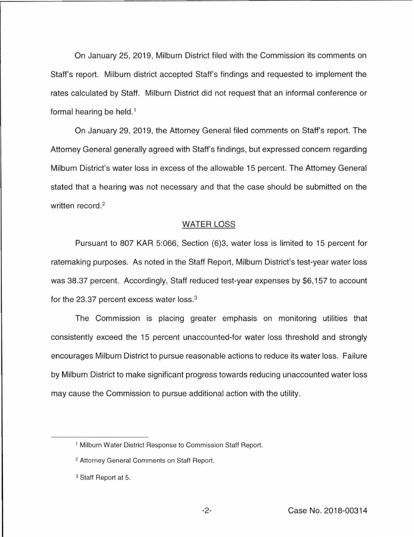On January 25, 2019, Milburn District filed with the Commission its comments on Staff's report. Milburn district accepted Staff's findings and requested to implement the rates calculated by Staff. Milburn District did not request that an informal conference or formal hearing be held. 1

On January 29, 2019, the Attorney General filed comments on Staff's report. The Attorney General generally agreed with Staff's findings, but expressed concern regarding Milburn District's water loss in excess of the allowable 15 percent. The Attorney General stated that a hearing was not necessary and that the case should be submitted on the written record. 2

#### WATER LOSS

Pursuant to 807 KAR 5:066, Section (6)3, water loss is limited to 15 percent for ratemaking purposes. As noted in the Staff Report, Milburn District's test-year water loss was 38.37 percent. Accordingly, Staff reduced test-year expenses by \$6, 157 to account for the 23.37 percent excess water loss.<sup>3</sup>

The Commission is placing greater emphasis on monitoring utilities that consistently exceed the 15 percent unaccounted-for water loss threshold and strongly encourages Milburn District to pursue reasonable actions to reduce its water loss. Failure by Milburn District to make significant progress towards reducing unaccounted water loss may cause the Commission to pursue additional action with the utility.

<sup>&</sup>lt;sup>1</sup> Milburn Water District Response to Commission Staff Report.

<sup>&</sup>lt;sup>2</sup> Attorney General Comments on Staff Report.

<sup>&</sup>lt;sup>3</sup> Staff Report at 5.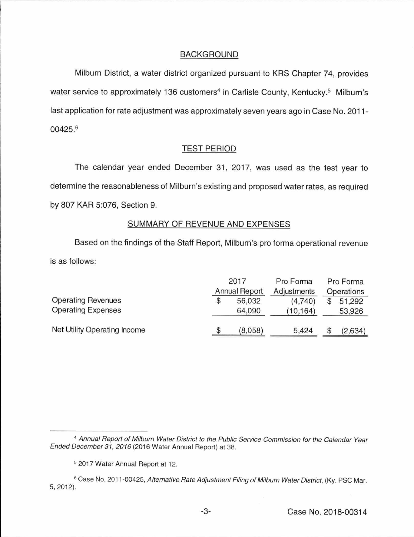# BACKGROUND

Milburn District, a water district organized pursuant to KRS Chapter 74, provides water service to approximately 136 customers<sup>4</sup> in Carlisle County, Kentucky.<sup>5</sup> Milburn's last application for rate adjustment was approximately seven years ago in Case No. 2011- 00425. 6

# TEST PERIOD

The calendar year ended December 31, 2017, was used as the test year to determine the reasonableness of Milburn's existing and proposed water rates, as required by 807 KAR 5:076, Section 9.

# SUMMARY OF REVENUE AND EXPENSES

Based on the findings of the Staff Report, Milburn's pro forma operational revenue is as follows:

|                              | 2017                 |         | Pro Forma   | Pro Forma  |         |
|------------------------------|----------------------|---------|-------------|------------|---------|
|                              | <b>Annual Report</b> |         | Adjustments | Operations |         |
| <b>Operating Revenues</b>    |                      | 56,032  | (4,740)     |            | 51,292  |
| <b>Operating Expenses</b>    |                      | 64,090  | (10, 164)   |            | 53,926  |
| Net Utility Operating Income |                      | (8,058) | 5.424       |            | (2,634) |

<sup>&</sup>lt;sup>4</sup> Annual Report of Milburn Water District to the Public Service Commission for the Calendar Year Ended December 31, 2016 (2016 Water Annual Report) at 38.

<sup>5</sup>2017 Water Annual Report at 12.

<sup>&</sup>lt;sup>6</sup> Case No. 2011-00425, Alternative Rate Adjustment Filing of Milburn Water District, (Ky. PSC Mar. 5, 2012).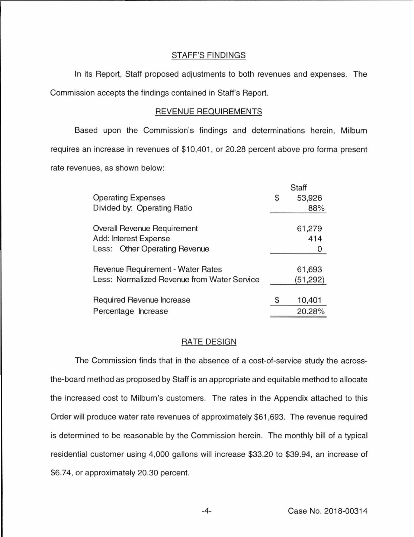### STAFF'S FINDINGS

In its Report, Staff proposed adjustments to both revenues and expenses. The Commission accepts the findings contained in Staff's Report.

## REVENUE REQUIREMENTS

Based upon the Commission's findings and determinations herein, Milburn requires an increase in revenues of \$10,401, or 20.28 percent above pro forma present rate revenues, as shown below:

|                                             | Staff |           |  |  |
|---------------------------------------------|-------|-----------|--|--|
| <b>Operating Expenses</b>                   | \$    | 53,926    |  |  |
| Divided by: Operating Ratio                 |       | 88%       |  |  |
| Overall Revenue Requirement                 |       | 61,279    |  |  |
| Add: Interest Expense                       |       | 414       |  |  |
| Less: Other Operating Revenue               |       | 0         |  |  |
| Revenue Requirement - Water Rates           |       | 61,693    |  |  |
| Less: Normalized Revenue from Water Service |       | (51, 292) |  |  |
| Required Revenue Increase                   |       | 10,401    |  |  |
| Percentage Increase                         |       | 20.28%    |  |  |

## RATE DESIGN

The Commission finds that in the absence of a cost-of-service study the acrossthe-board method as proposed by Staff is an appropriate and equitable method to allocate the increased cost to Milburn's customers. The rates in the Appendix attached to this Order will produce water rate revenues of approximately \$61 ,693. The revenue required is determined to be reasonable by the Commission herein. The monthly bill of a typical residential customer using 4,000 gallons will increase \$33.20 to \$39.94, an increase of \$6.74, or approximately 20.30 percent.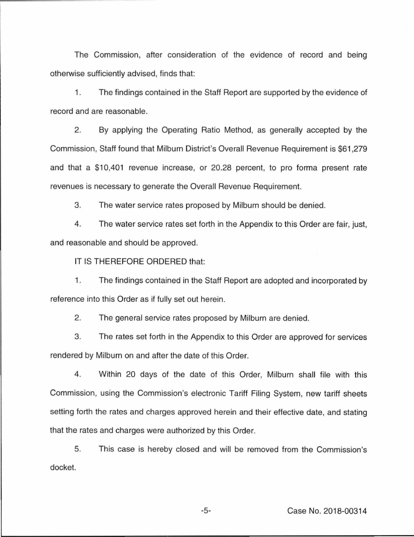The Commission, after consideration of the evidence of record and being otherwise sufficiently advised, finds that:

1. The findings contained in the Staff Report are supported by the evidence of record and are reasonable.

2. By applying the Operating Ratio Method, as generally accepted by the Commission, Staff found that Milburn District's Overall Revenue Requirement is \$61 ,279 and that a \$10,401 revenue increase, or 20.28 percent, to pro forma present rate revenues is necessary to generate the Overall Revenue Requirement.

3. The water service rates proposed by Milburn should be denied.

4. The water service rates set forth in the Appendix to this Order are fair, just, and reasonable and should be approved.

IT IS THEREFORE ORDERED that:

1. The findings contained in the Staff Report are adopted and incorporated by reference into this Order as if fully set out herein.

2. The general service rates proposed by Milburn are denied.

3. The rates set forth in the Appendix to this Order are approved for services rendered by Milburn on and after the date of this Order.

4. Within 20 days of the date of this Order, Milburn shall file with this Commission, using the Commission's electronic Tariff Filing System, new tariff sheets setting forth the rates and charges approved herein and their effective date, and stating that the rates and charges were authorized by this Order.

5. This case is hereby closed and will be removed from the Commission's docket.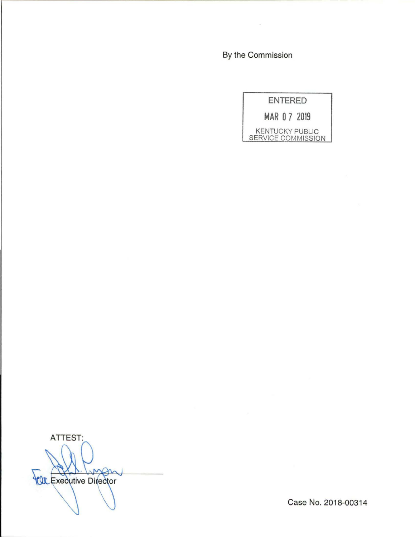By the Commission



ATTEST: men **YOR Executive Director** 

Case No. 2018-00314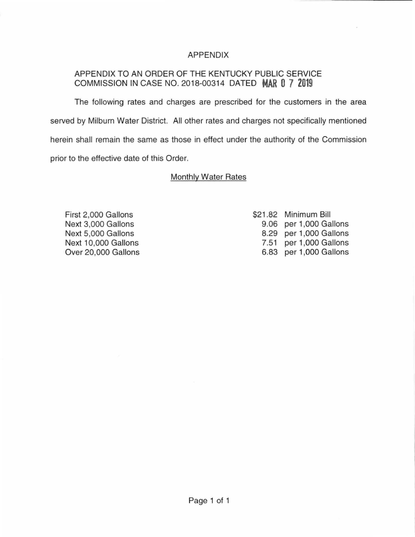# APPENDIX

# APPENDIX TO AN ORDER OF THE KENTUCKY PUBLIC SERVICE COMMISSION IN CASE NO. 2018-00314 DATED **MAR 0 7 2019**

The following rates and charges are prescribed for the customers in the area served by Milburn Water District. All other rates and charges not specifically mentioned herein shall remain the same as those in effect under the authority of the Commission prior to the effective date of this Order.

# Monthly Water Rates

First 2,000 Gallons Next 3,000 Gallons Next 5,000 Gallons Next 10,000 Gallons Over 20,000 Gallons \$21 .82 Minimum Bill 9.06 per 1,000 Gallons 8.29 per 1,000 Gallons 7.51 per 1,000 Gallons 6.83 per 1 ,000 Gallons